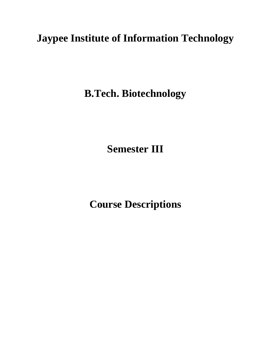# **Jaypee Institute of Information Technology**

**B.Tech. Biotechnology**

**Semester III**

**Course Descriptions**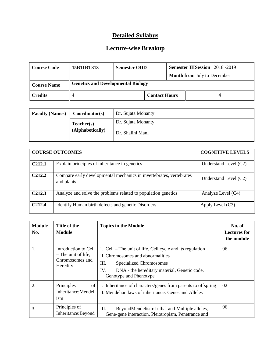| Course Code        | 15B11BT313                                | <b>Semester ODD</b> |                      |  | <b>Semester IIISession</b> 2018 -2019 |
|--------------------|-------------------------------------------|---------------------|----------------------|--|---------------------------------------|
|                    |                                           |                     |                      |  | <b>Month from July to December</b>    |
| <b>Course Name</b> | <b>Genetics and Developmental Biology</b> |                     |                      |  |                                       |
| l Credits          |                                           |                     | <b>Contact Hours</b> |  |                                       |

| <b>Faculty (Names)</b> | Coordinator(s)                 | Dr. Sujata Mohanty                     |
|------------------------|--------------------------------|----------------------------------------|
|                        | Teacher(s)<br>(Alphabetically) | Dr. Sujata Mohanty<br>Dr. Shalini Mani |

|                    | <b>COURSE OUTCOMES</b>                                                            | <b>COGNITIVE LEVELS</b> |
|--------------------|-----------------------------------------------------------------------------------|-------------------------|
| C <sub>212.1</sub> | Explain principles of inheritance in genetics                                     | Understand Level $(C2)$ |
| C <sub>212.2</sub> | Compare early developmental mechanics in invertebrates, vertebrates<br>and plants | Understand Level $(C2)$ |
| C <sub>212.3</sub> | Analyze and solve the problems related to population genetics                     | Analyze Level (C4)      |
| C <sub>212.4</sub> | Identify Human birth defects and genetic Disorders                                | Apply Level $(C3)$      |

| <b>Module</b><br>No. | Title of the<br><b>Module</b>                                              | <b>Topics in the Module</b>                                                                                                                                                                                      | No. of<br><b>Lectures for</b><br>the module |
|----------------------|----------------------------------------------------------------------------|------------------------------------------------------------------------------------------------------------------------------------------------------------------------------------------------------------------|---------------------------------------------|
| 1.                   | Introduction to Cell<br>- The unit of life,<br>Chromosomes and<br>Heredity | I. Cell – The unit of life, Cell cycle and its regulation<br>II. Chromosomes and abnormalities<br>Ш.<br>Specialized Chromosomes<br>IV.<br>DNA - the hereditary material, Genetic code,<br>Genotype and Phenotype | 06                                          |
| 2.                   | Principles<br>of<br>Inheritance: Mendel<br>ism                             | I. Inheritance of characters/genes from parents to offspring<br>II. Mendelian laws of inheritance: Genes and Alleles                                                                                             | 02                                          |
| 3.                   | Principles of<br>Inheritance: Beyond                                       | III.<br>BeyondMendelism:Lethal and Multiple alleles,<br>Gene-gene interaction, Pleiotropism, Penetrance and                                                                                                      | 06                                          |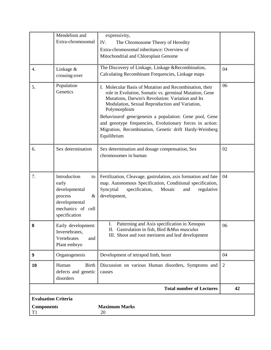|                                                                                     | Mendelism and<br>Extra-chromosomal                                                                                  | expressivity,<br>IV.<br>The Chromosome Theory of Heredity<br>Extra-chromosomal inheritance: Overview of<br>Mitochondrial and Chloroplast Genome                                                                                                                                                                                                                                                                                         |                |  |
|-------------------------------------------------------------------------------------|---------------------------------------------------------------------------------------------------------------------|-----------------------------------------------------------------------------------------------------------------------------------------------------------------------------------------------------------------------------------------------------------------------------------------------------------------------------------------------------------------------------------------------------------------------------------------|----------------|--|
| $\overline{4}$ .                                                                    | Linkage &<br>crossing-over                                                                                          | The Discovery of Linkage, Linkage & Recombination,<br>Calculating Recombinant Frequencies, Linkage maps                                                                                                                                                                                                                                                                                                                                 | 04             |  |
| 5.                                                                                  | Population<br>Genetics                                                                                              | I. Molecular Basis of Mutation and Recombination, their<br>role in Evolution, Somatic vs. germinal Mutation, Gene<br>Mutations, Darwin's Revolution: Variation and Its<br>Modulation, Sexual Reproduction and Variation,<br>Polymorphism<br>Behaviourof gene/genesin a population: Gene pool, Gene<br>and genotype frequencies, Evolutionary forces in action:<br>Migration, Recombination, Genetic drift Hardy-Weinberg<br>Equilibrium | 06             |  |
| 6.                                                                                  | Sex determination                                                                                                   | Sex determination and dosage compensation, Sex<br>chromosomes in human                                                                                                                                                                                                                                                                                                                                                                  | 02             |  |
| 7.                                                                                  | Introduction<br>to<br>early<br>developmental<br>process<br>&<br>developmental<br>mechanics of cell<br>specification | Fertilization, Cleavage, gastrulation, axis formation and fate<br>map. Autonomous Specification, Conditional specification,<br>Syncytial<br>specification,<br>Mosaic<br>and<br>regulative<br>development,                                                                                                                                                                                                                               | 04             |  |
| 8                                                                                   | Early development:<br>Invertebrates,<br>Vertebrates<br>and<br>Plant embryo                                          | Patterning and Axis specification in Xenopus<br>II. Gastrulation in fish, Bird & Mus musculus<br>III. Shoot and root meristem and leaf development                                                                                                                                                                                                                                                                                      | 06             |  |
| 9                                                                                   | Organogenesis                                                                                                       | Development of tetrapod limb, heart                                                                                                                                                                                                                                                                                                                                                                                                     | 04             |  |
| 10                                                                                  | Human<br>Birth<br>defects and genetic<br>disorders                                                                  | Discussion on various Human disorders, Symptoms and<br>causes                                                                                                                                                                                                                                                                                                                                                                           | $\overline{2}$ |  |
| <b>Total number of Lectures</b>                                                     |                                                                                                                     |                                                                                                                                                                                                                                                                                                                                                                                                                                         |                |  |
| <b>Evaluation Criteria</b><br><b>Maximum Marks</b><br><b>Components</b><br>T1<br>20 |                                                                                                                     |                                                                                                                                                                                                                                                                                                                                                                                                                                         |                |  |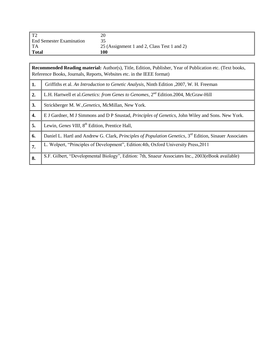| $T^{\prime}$                    | 20                                          |
|---------------------------------|---------------------------------------------|
| <b>End Semester Examination</b> |                                             |
| TA                              | 25 (Assignment 1 and 2, Class Test 1 and 2) |
| <b>Total</b>                    | 100                                         |

|    | <b>Recommended Reading material:</b> Author(s), Title, Edition, Publisher, Year of Publication etc. (Text books,<br>Reference Books, Journals, Reports, Websites etc. in the IEEE format) |
|----|-------------------------------------------------------------------------------------------------------------------------------------------------------------------------------------------|
| 1. | Griffiths et al. An Introduction to Genetic Analysis, Ninth Edition , 2007, W. H. Freeman                                                                                                 |
| 2. | L.H. Hartwell et al. Genetics: from Genes to Genomes, 2 <sup>nd</sup> Edition.2004, McGraw-Hill                                                                                           |
| 3. | Strickberger M. W., Genetics, McMillan, New York.                                                                                                                                         |
| 4. | E J Gardner, M J Simmons and D P Snustad, <i>Principles of Genetics</i> , John Wiley and Sons. New York.                                                                                  |
| 5. | Lewin, Genes VIII, 8 <sup>th</sup> Edition, Prentice Hall,                                                                                                                                |
| 6. | Daniel L. Hartl and Andrew G. Clark, Principles of Population Genetics, 3 <sup>rd</sup> Edition, Sinauer Associates                                                                       |
| 7. | L. Wolpert, "Principles of Development", Edition: 4th, Oxford University Press, 2011                                                                                                      |
| 8. | S.F. Gilbert, "Developmental Biology", Edition: 7th, Snaeur Associates Inc., 2003(eBook available)                                                                                        |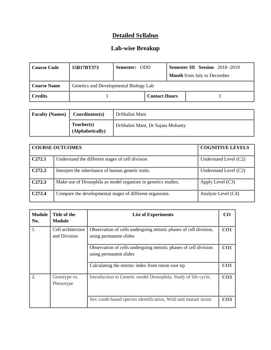# **Lab-wise Breakup**

| Course Code  | 15B17BT373                             | <b>Semester: ODD</b> |                      |  | <b>Semester III Session</b> 2018-2019 |
|--------------|----------------------------------------|----------------------|----------------------|--|---------------------------------------|
|              |                                        |                      |                      |  | <b>Month</b> from July to December    |
| Course Name  | Genetics and Developmental Biology Lab |                      |                      |  |                                       |
| $\ $ Credits |                                        |                      | <b>Contact Hours</b> |  |                                       |

| <b>Faculty (Names)</b> | Coordinator(s)                 | DrShalini Mani                    |
|------------------------|--------------------------------|-----------------------------------|
|                        | Teacher(s)<br>(Alphabetically) | DrShalini Mani, Dr Sujata Mohanty |

|                    | <b>COURSE OUTCOMES</b>                                        | <b>COGNITIVE LEVELS</b> |
|--------------------|---------------------------------------------------------------|-------------------------|
| C <sub>272.1</sub> | Understand the different stages of cell division              | Understand Level $(C2)$ |
| C <sub>272.2</sub> | Interpret the inheritance of human genetic traits.            | Understand Level $(C2)$ |
| C <sub>272.3</sub> | Make use of Drosophila as model organism in genetics studies. | Apply Level $(C3)$      |
| C <sub>272.4</sub> | Compare the developmental stages of different organisms.      | Analyze Level (C4)      |

| <b>Module</b><br>No. | Title of the<br>Module            | <b>List of Experiments</b>                                                                 | CO              |
|----------------------|-----------------------------------|--------------------------------------------------------------------------------------------|-----------------|
|                      | Cell architecture<br>and Division | Observation of cells undergoing mitotic phases of cell division,<br>using permanent slides | CO <sub>1</sub> |
|                      |                                   | Observation of cells undergoing meiotic phases of cell division<br>using permanent slides  | CO <sub>1</sub> |
|                      |                                   | Calculating the mitotic index from onion root tip                                          | CO <sub>1</sub> |
|                      | Genotype vs.<br>Phenotype         | Introduction to Genetic model Drosophila, Study of life cycle,                             | CO <sub>3</sub> |
|                      |                                   | Sex comb-based species identification, Wild and mutant strain                              | CO <sub>3</sub> |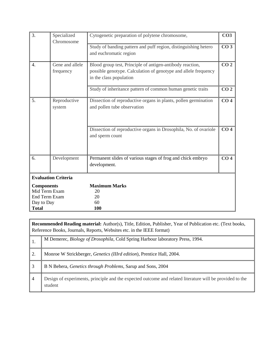| 3.                                                                                | Specialized<br>Chromosome    | Cytogenetic preparation of polytene chromosome,                                                                                                         | CO <sub>3</sub> |
|-----------------------------------------------------------------------------------|------------------------------|---------------------------------------------------------------------------------------------------------------------------------------------------------|-----------------|
|                                                                                   |                              | Study of banding pattern and puff region, distinguishing hetero<br>and euchromatic region                                                               | CO <sub>3</sub> |
| 4.                                                                                | Gene and allele<br>frequency | Blood group test, Principle of antigen-antibody reaction,<br>possible genotype. Calculation of genotype and allele frequency<br>in the class population | CO <sub>2</sub> |
|                                                                                   |                              | Study of inheritance pattern of common human genetic traits                                                                                             | CO <sub>2</sub> |
| 5.                                                                                | Reproductive<br>system       | Dissection of reproductive organs in plants, pollen germination<br>and pollen tube observation                                                          | CO <sub>4</sub> |
|                                                                                   |                              | Dissection of reproductive organs in Drosophila, No. of ovariole<br>and sperm count                                                                     | CO <sub>4</sub> |
| 6.                                                                                | Development                  | Permanent slides of various stages of frog and chick embryo<br>development.                                                                             | CO <sub>4</sub> |
|                                                                                   | <b>Evaluation Criteria</b>   |                                                                                                                                                         |                 |
| <b>Components</b><br>Mid Term Exam<br>End Term Exam<br>Day to Day<br><b>Total</b> |                              | <b>Maximum Marks</b><br>20<br>20<br>60<br>100                                                                                                           |                 |

|                | <b>Recommended Reading material:</b> Author(s), Title, Edition, Publisher, Year of Publication etc. (Text books,<br>Reference Books, Journals, Reports, Websites etc. in the IEEE format) |  |  |  |
|----------------|-------------------------------------------------------------------------------------------------------------------------------------------------------------------------------------------|--|--|--|
|                | M Demerec, <i>Biology of Drosophila</i> , Cold Spring Harbour laboratory Press, 1994.                                                                                                     |  |  |  |
| 2.             | Monroe W Strickberger, <i>Genetics</i> ( <i>IIIrd edition</i> ), Prentice Hall, 2004.                                                                                                     |  |  |  |
| 3              | B N Behera, <i>Genetics through Problems</i> , Sarup and Sons, 2004                                                                                                                       |  |  |  |
| $\overline{4}$ | Design of experiments, principle and the expected outcome and related literature will be provided to the<br>student                                                                       |  |  |  |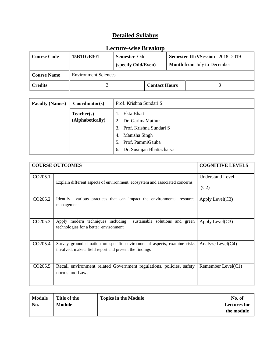| <b>Course Code</b> | 15B11GE301                  | <b>Semester Odd</b><br>(specify Odd/Even) |  | <b>Semester III/VSession</b> 2018 -2019<br><b>Month from July to December</b> |
|--------------------|-----------------------------|-------------------------------------------|--|-------------------------------------------------------------------------------|
| <b>Course Name</b> | <b>Environment Sciences</b> |                                           |  |                                                                               |
| <b>Credits</b>     |                             | <b>Contact Hours</b>                      |  |                                                                               |

| <b>Faculty (Names)</b> | Coordinator(s)   | Prof. Krishna Sundari S         |
|------------------------|------------------|---------------------------------|
|                        | Teacher(s)       | Ekta Bhatt                      |
|                        | (Alphabetically) | 2. Dr. GarimaMathur             |
|                        |                  | Prof. Krishna Sundari S<br>3.   |
|                        |                  | 4. Manisha Singh                |
|                        |                  | 5. Prof. PammiGauba             |
|                        |                  | Dr. Susinjan Bhattacharya<br>6. |

|                     | <b>COURSE OUTCOMES</b>                                                                                                                 | <b>COGNITIVE LEVELS</b> |
|---------------------|----------------------------------------------------------------------------------------------------------------------------------------|-------------------------|
| CO205.1             | Explain different aspects of environment, ecosystem and associated concerns                                                            | <b>Understand Level</b> |
|                     |                                                                                                                                        | (C2)                    |
| CO205.2             | Identify<br>various practices that can impact the environmental resource<br>management                                                 | Apply Level $(C3)$      |
| CO <sub>205.3</sub> | sustainable solutions and green $\Delta$ Apply Level(C3)<br>Apply modern techniques including<br>technologies for a better environment |                         |
| CO <sub>205.4</sub> | Survey ground situation on specific environmental aspects, examine risks<br>involved, make a field report and present the findings     | Analyze Level $(C4)$    |
| CO <sub>205.5</sub> | Recall environment related Government regulations, policies, safety<br>norms and Laws.                                                 | Remember Level $(C1)$   |

| Module | Title of the  | <b>Topics in the Module</b> | No. of              |
|--------|---------------|-----------------------------|---------------------|
| No.    | <b>Module</b> |                             | <b>Lectures for</b> |
|        |               |                             | the module          |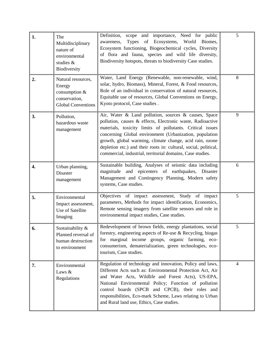| 1. | The<br>Multidisciplinary<br>nature of<br>environmental<br>studies &<br>Biodiversity           | Definition, scope and importance, Need for public<br>Types of Ecosystems, World Biomes,<br>awareness,<br>Ecosystem functioning, Biogeochemical cycles, Diversity<br>of flora and fauna, species and wild life diversity,<br>Biodiversity hotspots, threats to biodiversity Case studies.                                                                                                                                                 | 5              |
|----|-----------------------------------------------------------------------------------------------|------------------------------------------------------------------------------------------------------------------------------------------------------------------------------------------------------------------------------------------------------------------------------------------------------------------------------------------------------------------------------------------------------------------------------------------|----------------|
| 2. | Natural resources,<br>Energy<br>consumption $&$<br>conservation,<br><b>Global Conventions</b> | Water, Land Energy (Renewable, non-renewable, wind,<br>solar, hydro, Biomass), Mineral, Forest, & Food resources,<br>Role of an individual in conservation of natural resources,<br>Equitable use of resources, Global Conventions on Energy,<br>Kyoto protocol, Case studies.                                                                                                                                                           | 8              |
| 3. | Pollution,<br>hazardous waste<br>management                                                   | Air, Water & Land pollution, sources & causes, Space<br>pollution, causes & effects, Electronic waste, Radioactive<br>materials, toxicity limits of pollutants. Critical issues<br>concerning Global environment (Urbanization, population<br>growth, global warming, climate change, acid rain, ozone<br>depletion etc.) and their roots in: cultural, social, political,<br>commercial, industrial, territorial domains, Case studies. | 9              |
| 4. | Urban planning,<br><b>Disaster</b><br>management                                              | Sustainable building, Analyses of seismic data including<br>magnitude and epicenters of earthquakes, Disaster<br>Management and Contingency Planning, Modern safety<br>systems, Case studies.                                                                                                                                                                                                                                            | 6              |
| 5. | Environmental<br>Impact assessment,<br>Use of Satellite<br>Imaging                            | Objectives of impact assessment, Study of impact<br>parameters, Methods for impact identification, Economics,<br>Remote sensing imagery from satellite sensors and role in<br>environmental impact studies, Case studies.                                                                                                                                                                                                                | 5              |
| 6. | Sustainability &<br>Planned reversal of<br>human destruction<br>to environment                | Redevelopment of brown fields, energy plantations, social<br>forestry, engineering aspects of Re-use & Recycling, biogas<br>for marginal income groups, organic farming, eco-<br>consumerism, dematerialization, green technologies, eco-<br>tourism, Case studies.                                                                                                                                                                      | 5              |
| 7. | Environmental<br>Laws &<br>Regulations                                                        | Regulation of technology and innovation, Policy and laws,<br>Different Acts such as: Environmental Protection Act, Air<br>and Water Acts, Wildlife and Forest Acts), US-EPA,<br>National Environmental Policy; Function of pollution<br>control boards (SPCB and CPCB), their roles and<br>responsibilities, Eco-mark Scheme, Laws relating to Urban<br>and Rural land use, Ethics, Case studies.                                        | $\overline{4}$ |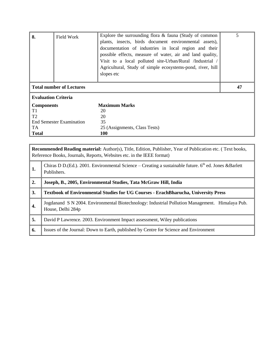| 8.<br>Field Work                | Explore the surrounding flora $&$ fauna (Study of common<br>plants, insects, birds document environmental assets),<br>documentation of industries in local region and their<br>possible effects, measure of water, air and land quality,<br>Visit to a local polluted site-Urban/Rural /Industrial /<br>Agricultural, Study of simple ecosystems-pond, river, hill<br>slopes etc | 5 |
|---------------------------------|----------------------------------------------------------------------------------------------------------------------------------------------------------------------------------------------------------------------------------------------------------------------------------------------------------------------------------------------------------------------------------|---|
| <b>Total number of Lectures</b> | 47                                                                                                                                                                                                                                                                                                                                                                               |   |
| <b>Evaluation Criteria</b>      |                                                                                                                                                                                                                                                                                                                                                                                  |   |
| <b>Components</b>               | <b>Maximum Marks</b>                                                                                                                                                                                                                                                                                                                                                             |   |
| T1                              | 20                                                                                                                                                                                                                                                                                                                                                                               |   |
| T <sub>2</sub>                  | 20                                                                                                                                                                                                                                                                                                                                                                               |   |
| <b>End Semester Examination</b> | 35                                                                                                                                                                                                                                                                                                                                                                               |   |
| TA.                             | 25 (Assignments, Class Tests)                                                                                                                                                                                                                                                                                                                                                    |   |
| <b>Total</b>                    | 100                                                                                                                                                                                                                                                                                                                                                                              |   |

**Recommended Reading material:** Author(s), Title, Edition, Publisher, Year of Publication etc. ( Text books, Reference Books, Journals, Reports, Websites etc. in the IEEE format)

| 1. | Chiras D D.(Ed.). 2001. Environmental Science – Creating a sustainable future. $6th$ ed. Jones & Barlett<br>Publishers. |
|----|-------------------------------------------------------------------------------------------------------------------------|
| 2. | Joseph, B., 2005, Environmental Studies, Tata McGraw Hill, India                                                        |
| 3. | <b>Textbook of Environmental Studies for UG Courses - ErachBharucha, University Press</b>                               |
| 4. | Jogdanand S N 2004. Environmental Biotechnology: Industrial Pollution Management. Himalaya Pub.<br>House, Delhi 284p    |
| 5. | David P Lawrence. 2003. Environment Impact assessment, Wiley publications                                               |
| 6. | Issues of the Journal: Down to Earth, published by Centre for Science and Environment                                   |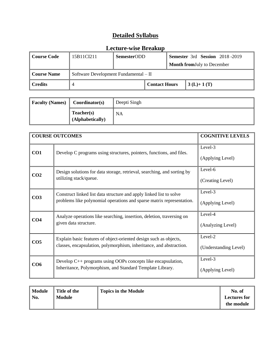| Course Code                                            | 15B11CI211 | <b>SemesterODD</b> |                      |                                    | <b>Semester</b> 3rd <b>Session</b> 2018-2019 |
|--------------------------------------------------------|------------|--------------------|----------------------|------------------------------------|----------------------------------------------|
|                                                        |            |                    |                      | <b>Month from July to December</b> |                                              |
| Software Development Fundamental - II<br>  Course Name |            |                    |                      |                                    |                                              |
| $\ $ Credits                                           |            |                    | <b>Contact Hours</b> |                                    | $3(L)+1(T)$                                  |

| <b>Faculty (Names)</b> | Coordinator(s)                 | Deepti Singh |
|------------------------|--------------------------------|--------------|
|                        | Teacher(s)<br>(Alphabetically) | NA           |

|                 | <b>COURSE OUTCOMES</b>                                                                                                                       | <b>COGNITIVE LEVELS</b>          |
|-----------------|----------------------------------------------------------------------------------------------------------------------------------------------|----------------------------------|
| CO <sub>1</sub> | Develop C programs using structures, pointers, functions, and files.                                                                         | Level-3<br>(Applying Level)      |
| CO <sub>2</sub> | Design solutions for data storage, retrieval, searching, and sorting by<br>utilizing stack/queue.                                            | Level-6<br>(Creating Level)      |
| CO <sub>3</sub> | Construct linked list data structure and apply linked list to solve<br>problems like polynomial operations and sparse matrix representation. | Level-3<br>(Applying Level)      |
| CO <sub>4</sub> | Analyze operations like searching, insertion, deletion, traversing on<br>given data structure.                                               | Level-4<br>(Analyzing Level)     |
| CO <sub>5</sub> | Explain basic features of object-oriented design such as objects,<br>classes, encapsulation, polymorphism, inheritance, and abstraction.     | Level-2<br>(Understanding Level) |
| CO6             | Develop C++ programs using OOPs concepts like encapsulation,<br>Inheritance, Polymorphism, and Standard Template Library.                    | Level-3<br>(Applying Level)      |

| Module | Title of the  | <b>Topics in the Module</b> | No. of              |
|--------|---------------|-----------------------------|---------------------|
| No.    | <b>Module</b> |                             | <b>Lectures for</b> |
|        |               |                             | the module          |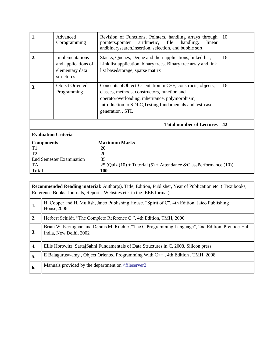| 1.                                                                                                  | Advanced<br>Cprogramming                                                 | Revision of Functions, Pointers, handling arrays through<br>arithmetic,<br>file<br>handling,<br>pointers, pointer<br>linear<br>andbinarysearch, insertion, selection, and bubble sort.                                                        | <b>10</b> |
|-----------------------------------------------------------------------------------------------------|--------------------------------------------------------------------------|-----------------------------------------------------------------------------------------------------------------------------------------------------------------------------------------------------------------------------------------------|-----------|
| $\overline{2}$ .                                                                                    | Implementations<br>and applications of<br>elementary data<br>structures. | Stacks, Queues, Deque and their applications, linked list,<br>Link list application, binary trees, Binary tree array and link<br>list basedstorage, sparse matrix                                                                             | 16        |
| 3.                                                                                                  | <b>Object Oriented</b><br>Programming                                    | Concepts of Object-Orientation in C++, constructs, objects,<br>classes, methods, constructors, function and<br>operatoroverloading, inheritance, polymorphism,<br>Introduction to SDLC, Testing fundamentals and test-case<br>generation, STL | 16        |
|                                                                                                     |                                                                          | <b>Total number of Lectures</b>                                                                                                                                                                                                               | 42        |
| <b>Evaluation Criteria</b>                                                                          |                                                                          |                                                                                                                                                                                                                                               |           |
| <b>Components</b><br>T1<br>T <sub>2</sub><br><b>End Semester Examination</b><br>TA.<br><b>Total</b> |                                                                          | <b>Maximum Marks</b><br>20<br>20<br>35<br>25 (Quiz $(10)$ + Tutorial $(5)$ + Attendance & Class Performance $(10)$ )<br><b>100</b>                                                                                                            |           |

|                  | <b>Recommended Reading material:</b> Author(s), Title, Edition, Publisher, Year of Publication etc. (Text books,<br>Reference Books, Journals, Reports, Websites etc. in the IEEE format) |  |  |  |
|------------------|-------------------------------------------------------------------------------------------------------------------------------------------------------------------------------------------|--|--|--|
| 1.               | H. Cooper and H. Mullish, Jaico Publishing House. "Spirit of C", 4th Edition, Jaico Publishing<br>House, 2006                                                                             |  |  |  |
| 2.               | Herbert Schildt. "The Complete Reference C", 4th Edition, TMH, 2000                                                                                                                       |  |  |  |
| 3.               | Brian W. Kernighan and Dennis M. Ritchie, "The C Programming Language", 2nd Edition, Prentice-Hall<br>India, New Delhi, 2002                                                              |  |  |  |
| $\overline{4}$ . | Ellis Horowitz, Sartaj Sahni Fundamentals of Data Structures in C, 2008, Silicon press                                                                                                    |  |  |  |
| 5.               | E Balaguruswamy, Object Oriented Programming With C++, 4th Edition, TMH, 2008                                                                                                             |  |  |  |
| 6.               | Manuals provided by the department on \\fileserver2                                                                                                                                       |  |  |  |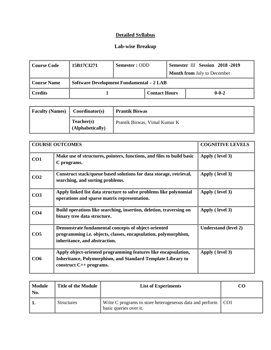#### **Lab-wise Breakup**

| Course Code        | 15B17CI271                               | Semester: ODD |                      |  | Semester III Session 2018 - 2019   |
|--------------------|------------------------------------------|---------------|----------------------|--|------------------------------------|
|                    |                                          |               |                      |  | <b>Month from July to December</b> |
| <b>Course Name</b> | Software Development Fundamental – 2 LAB |               |                      |  |                                    |
| Credits            |                                          |               | <b>Contact Hours</b> |  | $0 - 0 - 2$                        |

| <b>Faculty (Names)</b> | Coordinator(s)                 | <b>Prantik Biswas</b>         |
|------------------------|--------------------------------|-------------------------------|
|                        | Teacher(s)<br>(Alphabetically) | Prantik Biswas, Vimal Kumar K |

|                 | <b>COURSE OUTCOMES</b>                                                                                                                                     | <b>COGNITIVE LEVELS</b>     |
|-----------------|------------------------------------------------------------------------------------------------------------------------------------------------------------|-----------------------------|
| CO1             | Make use of structures, pointers, functions, and files to build basic<br>C programs.                                                                       | Apply (level 3)             |
| CO <sub>2</sub> | Construct stack/queue based solutions for data storage, retrieval,<br>searching, and sorting problems.                                                     | Apply (level 3)             |
| CO <sub>3</sub> | Apply linked list data structure to solve problems like polynomial<br>operations and sparse matrix representation.                                         | Apply (level 3)             |
| CO <sub>4</sub> | Build operations like searching, insertion, deletion, traversing on<br>binary tree data structure.                                                         | Apply (level 3)             |
| CO <sub>5</sub> | Demonstrate fundamental concepts of object-oriented<br>programming i.e. objects, classes, encapsulation, polymorphism,<br>inheritance, and abstraction.    | <b>Understand (level 2)</b> |
| CO <sub>6</sub> | Apply object-oriented programming features like encapsulation,<br>Inheritance, Polymorphism, and Standard Template Library to<br>construct $C++$ programs. | Apply (level 3)             |

| <b>Module</b><br>No. | Title of the Module | <b>List of Experiments</b>                                                             |  |
|----------------------|---------------------|----------------------------------------------------------------------------------------|--|
|                      | <b>Structures</b>   | Write C programs to store heterogeneous data and perform CO1<br>basic queries over it. |  |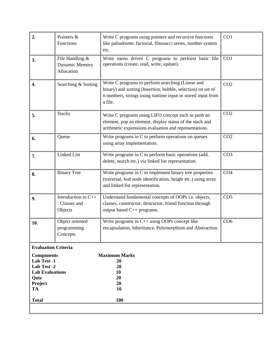| Pointers &<br>Write C programs using pointers and recursive functions<br>Functions<br>like palindrome, factorial, fibonacci series, number system<br>etc. |                                                                                                                                                                           | CO1                                                                                                                                                                                                                                                                                                                    |
|-----------------------------------------------------------------------------------------------------------------------------------------------------------|---------------------------------------------------------------------------------------------------------------------------------------------------------------------------|------------------------------------------------------------------------------------------------------------------------------------------------------------------------------------------------------------------------------------------------------------------------------------------------------------------------|
| File Handling &<br><b>Dynamic Memory</b><br>Allocation                                                                                                    | CO1                                                                                                                                                                       |                                                                                                                                                                                                                                                                                                                        |
| Searching & Sorting                                                                                                                                       | CO <sub>2</sub>                                                                                                                                                           |                                                                                                                                                                                                                                                                                                                        |
| <b>Stacks</b>                                                                                                                                             | Write C programs using LIFO concept such as push an<br>element, pop an element, display status of the stack and<br>arithmetic expressions evaluation and representations. | CO <sub>2</sub>                                                                                                                                                                                                                                                                                                        |
| Queue                                                                                                                                                     | Write programs in C to perform operations on queues<br>using array implementation.                                                                                        | CO <sub>2</sub>                                                                                                                                                                                                                                                                                                        |
| <b>Linked List</b>                                                                                                                                        | Write programs in C to perform basic operations (add,<br>delete, search etc.) via linked list representation.                                                             | CO <sub>3</sub>                                                                                                                                                                                                                                                                                                        |
| <b>Binary Tree</b>                                                                                                                                        | Write programs in C to implement binary tree properties<br>(traversal, leaf node identification, height etc.) using array<br>and linked list representation.              | CO <sub>4</sub>                                                                                                                                                                                                                                                                                                        |
| Introduction to C++<br>: Classes and<br>Objects                                                                                                           | Understand fundamental concepts of OOPs i.e. objects,<br>classes, constructor, destructor, friend function through<br>output based C++ programs.                          | CO <sub>5</sub>                                                                                                                                                                                                                                                                                                        |
| Object oriented<br>programming<br>Concepts                                                                                                                | Write programs in $C++$ using OOPs concept like<br>encapsulation, Inheritance, Polymorphism and Abstraction.                                                              | CO <sub>6</sub>                                                                                                                                                                                                                                                                                                        |
|                                                                                                                                                           | 20<br>20<br>10<br>20<br>20<br>10<br><b>100</b>                                                                                                                            |                                                                                                                                                                                                                                                                                                                        |
|                                                                                                                                                           | <b>Evaluation Criteria</b><br><b>Components</b><br>Lab Test -1<br>Lab Test -2<br><b>Lab Evaluations</b>                                                                   | Write menu driven C programs to perform basic file<br>operations (create, read, write, update).<br>Write C programs to perform searching (Linear and<br>binary) and sorting (Insertion, bubble, selection) on set of<br>n numbers, strings using runtime input or stored input from<br>a file.<br><b>Maximum Marks</b> |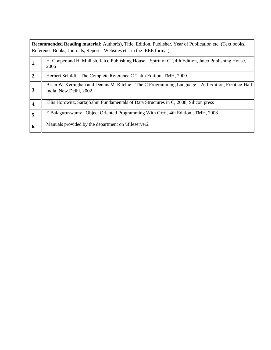|    | <b>Recommended Reading material:</b> Author(s), Title, Edition, Publisher, Year of Publication etc. (Text books,<br>Reference Books, Journals, Reports, Websites etc. in the IEEE format) |  |  |  |  |
|----|-------------------------------------------------------------------------------------------------------------------------------------------------------------------------------------------|--|--|--|--|
| 1. | H. Cooper and H. Mullish, Jaico Publishing House. "Spirit of C", 4th Edition, Jaico Publishing House,<br>2006                                                                             |  |  |  |  |
| 2. | Herbert Schildt. "The Complete Reference C", 4th Edition, TMH, 2000                                                                                                                       |  |  |  |  |
| 3. | Brian W. Kernighan and Dennis M. Ritchie, "The C Programming Language", 2nd Edition, Prentice-Hall<br>India, New Delhi, 2002                                                              |  |  |  |  |
| 4. | Ellis Horowitz, Sartaj Sahni Fundamentals of Data Structures in C, 2008, Silicon press                                                                                                    |  |  |  |  |
| 5. | E Balaguruswamy, Object Oriented Programming With C++, 4th Edition, TMH, 2008                                                                                                             |  |  |  |  |
| 6. | Manuals provided by the department on \\fileserver2                                                                                                                                       |  |  |  |  |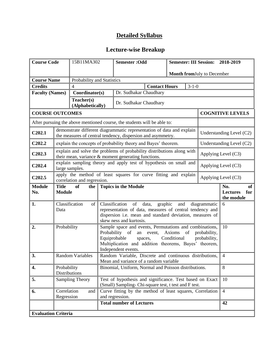| <b>Course Code</b>                               |                                                                                                                               | 15B11MA302                                                                                                                                                                                                                                                                |                                                                                                                        | <b>Semester: Odd</b><br>Semester: III Session: 2018-2019                                                                             |                                                   |                |                     |                            |                          |
|--------------------------------------------------|-------------------------------------------------------------------------------------------------------------------------------|---------------------------------------------------------------------------------------------------------------------------------------------------------------------------------------------------------------------------------------------------------------------------|------------------------------------------------------------------------------------------------------------------------|--------------------------------------------------------------------------------------------------------------------------------------|---------------------------------------------------|----------------|---------------------|----------------------------|--------------------------|
|                                                  |                                                                                                                               |                                                                                                                                                                                                                                                                           |                                                                                                                        |                                                                                                                                      |                                                   |                |                     | Month fromJuly to December |                          |
| Probability and Statistics<br><b>Course Name</b> |                                                                                                                               |                                                                                                                                                                                                                                                                           |                                                                                                                        |                                                                                                                                      |                                                   |                |                     |                            |                          |
| <b>Credits</b>                                   |                                                                                                                               | $\overline{4}$                                                                                                                                                                                                                                                            |                                                                                                                        |                                                                                                                                      | <b>Contact Hours</b>                              |                | $3-1-0$             |                            |                          |
| <b>Faculty (Names)</b>                           |                                                                                                                               | Coordinator(s)                                                                                                                                                                                                                                                            |                                                                                                                        | Dr. Sudhakar Chaudhary                                                                                                               |                                                   |                |                     |                            |                          |
|                                                  |                                                                                                                               | Teacher(s)<br>(Alphabetically)                                                                                                                                                                                                                                            |                                                                                                                        | Dr. Sudhakar Chaudhary                                                                                                               |                                                   |                |                     |                            |                          |
| <b>COURSE OUTCOMES</b>                           |                                                                                                                               |                                                                                                                                                                                                                                                                           |                                                                                                                        |                                                                                                                                      |                                                   |                |                     |                            | <b>COGNITIVE LEVELS</b>  |
|                                                  |                                                                                                                               |                                                                                                                                                                                                                                                                           |                                                                                                                        | After pursuing the above mentioned course, the students will be able to:                                                             |                                                   |                |                     |                            |                          |
| C202.1                                           |                                                                                                                               |                                                                                                                                                                                                                                                                           |                                                                                                                        | demonstrate different diagrammatic representation of data and explain<br>the measures of central tendency, dispersion and asymmetry. |                                                   |                |                     |                            | Understanding Level (C2) |
| C <sub>2</sub> 02.2                              |                                                                                                                               |                                                                                                                                                                                                                                                                           |                                                                                                                        | explain the concepts of probability theory and Bayes' theorem.                                                                       |                                                   |                |                     |                            | Understanding Level (C2) |
| C202.3                                           | explain and solve the problems of probability distributions along with<br>their mean, variance & moment generating functions. |                                                                                                                                                                                                                                                                           |                                                                                                                        |                                                                                                                                      | Applying Level (C3)                               |                |                     |                            |                          |
| C <sub>202.4</sub><br>large samples.             |                                                                                                                               |                                                                                                                                                                                                                                                                           |                                                                                                                        | explain sampling theory and apply test of hypothesis on small and                                                                    |                                                   |                | Applying Level (C3) |                            |                          |
| C <sub>202.5</sub>                               |                                                                                                                               | apply the method of least squares for curve fitting and explain<br>Applying Level (C3)<br>correlation and regression.                                                                                                                                                     |                                                                                                                        |                                                                                                                                      |                                                   |                |                     |                            |                          |
| <b>Module</b><br>No.                             | <b>Title</b><br><b>Module</b>                                                                                                 | <b>Topics in the Module</b><br>of<br>the                                                                                                                                                                                                                                  |                                                                                                                        |                                                                                                                                      | No.<br>of<br><b>Lectures</b><br>for<br>the module |                |                     |                            |                          |
| 1.                                               | Data                                                                                                                          | Classification<br>Classification<br>of data,<br>graphic<br>of  <br>and<br>diagrammatic<br>representation of data, measures of central tendency and<br>dispersion i.e. mean and standard deviation, measures of<br>skew ness and kurtosis.                                 |                                                                                                                        |                                                                                                                                      | 6                                                 |                |                     |                            |                          |
| 2.                                               |                                                                                                                               | Probability<br>Sample space and events, Permutations and combinations,<br>Probability of<br>an event, Axioms of<br>probability,<br>Conditional<br>Equiprobable<br>probability,<br>spaces,<br>Multiplication and addition theorems, Bayes' theorem,<br>Independent events. |                                                                                                                        |                                                                                                                                      | 10                                                |                |                     |                            |                          |
| $\overline{\mathbf{3}}$ .                        |                                                                                                                               | Random Variable, Discrete and continuous distributions,<br><b>Random Variables</b><br>Mean and variance of a random variable                                                                                                                                              |                                                                                                                        |                                                                                                                                      | $\overline{4}$                                    |                |                     |                            |                          |
| 4.                                               | Probability                                                                                                                   | Binomial, Uniform, Normal and Poisson distributions.<br>Distributions                                                                                                                                                                                                     |                                                                                                                        |                                                                                                                                      | 8                                                 |                |                     |                            |                          |
| 5.                                               |                                                                                                                               | <b>Sampling Theory</b>                                                                                                                                                                                                                                                    | Test of hypothesis and significance. Test based on Exact<br>10<br>(Small) Sampling-Chi-square test, t test and F test. |                                                                                                                                      |                                                   |                |                     |                            |                          |
| 6.                                               | Correlation<br>Regression                                                                                                     | and                                                                                                                                                                                                                                                                       | Curve fitting by the method of least squares, Correlation<br>and regression.                                           |                                                                                                                                      |                                                   | $\overline{4}$ |                     |                            |                          |
|                                                  |                                                                                                                               |                                                                                                                                                                                                                                                                           |                                                                                                                        | <b>Total number of Lectures</b>                                                                                                      |                                                   |                |                     |                            | 42                       |
| <b>Evaluation Criteria</b>                       |                                                                                                                               |                                                                                                                                                                                                                                                                           |                                                                                                                        |                                                                                                                                      |                                                   |                |                     |                            |                          |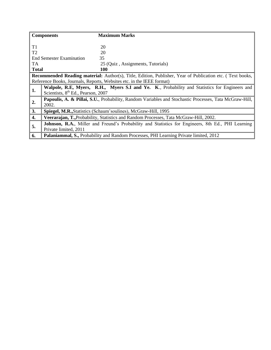|                | <b>Components</b>                                                                                      | <b>Maximum Marks</b>                                                                                      |  |  |  |
|----------------|--------------------------------------------------------------------------------------------------------|-----------------------------------------------------------------------------------------------------------|--|--|--|
|                |                                                                                                        |                                                                                                           |  |  |  |
| T <sub>1</sub> |                                                                                                        | 20                                                                                                        |  |  |  |
| T <sub>2</sub> |                                                                                                        | 20                                                                                                        |  |  |  |
|                | <b>End Semester Examination</b>                                                                        | 35                                                                                                        |  |  |  |
| <b>TA</b>      |                                                                                                        | 25 (Quiz, Assignments, Tutorials)                                                                         |  |  |  |
| <b>Total</b>   |                                                                                                        | 100                                                                                                       |  |  |  |
|                |                                                                                                        | Recommended Reading material: Author(s), Title, Edition, Publisher, Year of Publication etc. (Text books, |  |  |  |
|                |                                                                                                        | Reference Books, Journals, Reports, Websites etc. in the IEEE format)                                     |  |  |  |
| 1.             | Walpole, R.E., Myers, R.H., Myers S.I and Ye. K., Probability and Statistics for Engineers and         |                                                                                                           |  |  |  |
|                | Scientists, 8 <sup>th</sup> Ed., Pearson, 2007                                                         |                                                                                                           |  |  |  |
| 2.             | Papoulis, A. & Pillai, S.U., Probability, Random Variables and Stochastic Processes, Tata McGraw-Hill, |                                                                                                           |  |  |  |
|                | 2002.                                                                                                  |                                                                                                           |  |  |  |
| 3.             | Spiegel, M.R., Statistics (Schaum'soulines), McGraw-Hill, 1995                                         |                                                                                                           |  |  |  |
| 4.             | Veerarajan, T., Probability, Statistics and Random Processes, Tata McGraw-Hill, 2002.                  |                                                                                                           |  |  |  |
| 5.             |                                                                                                        | Johnson, R.A., Miller and Freund's Probability and Statistics for Engineers, 8th Ed., PHI Learning        |  |  |  |
|                | Private limited, 2011                                                                                  |                                                                                                           |  |  |  |
| 6.             |                                                                                                        | <b>Palaniammal, S., Probability and Random Processes, PHI Learning Private limited, 2012</b>              |  |  |  |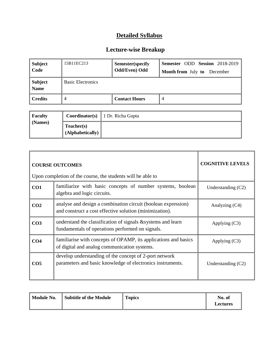| Subject<br>  Code | 15B11EC213               | Semester(specify)<br>Odd/Even) Odd | Semester ODD Session 2018-2019<br><b>Month from July to</b><br>December |
|-------------------|--------------------------|------------------------------------|-------------------------------------------------------------------------|
| Subject<br>  Name | <b>Basic Electronics</b> |                                    |                                                                         |
| Credits           | $\overline{4}$           | <b>Contact Hours</b>               | 4                                                                       |

| <b>Faculty</b> |                                | <b>Coordinator(s)</b>   1 Dr. Richa Gupta |
|----------------|--------------------------------|-------------------------------------------|
| (Names)        | Teacher(s)<br>(Alphabetically) |                                           |

|                 | <b>COURSE OUTCOMES</b><br>Upon completion of the course, the students will be able to                                    | <b>COGNITIVE LEVELS</b> |
|-----------------|--------------------------------------------------------------------------------------------------------------------------|-------------------------|
| CO1             | familiarize with basic concepts of number systems, boolean<br>algebra and logic circuits.                                | Understanding $(C2)$    |
| CO <sub>2</sub> | analyse and design a combination circuit (boolean expression)<br>and construct a cost effective solution (minimization). | Analyzing (C4)          |
| CO <sub>3</sub> | understand the classification of signals & systems and learn<br>fundamentals of operations performed on signals.         | Applying $(C3)$         |
| CO <sub>4</sub> | familiarise with concepts of OPAMP, its applications and basics<br>of digital and analog communication systems.          | Applying $(C3)$         |
| CO <sub>5</sub> | develop understanding of the concept of 2-port network<br>parameters and basic knowledge of electronics instruments.     | Understanding $(C2)$    |

| <b>Subtitle of the Module</b><br>Module No. | <b>Topics</b> | No. of<br>Lectures |
|---------------------------------------------|---------------|--------------------|
|---------------------------------------------|---------------|--------------------|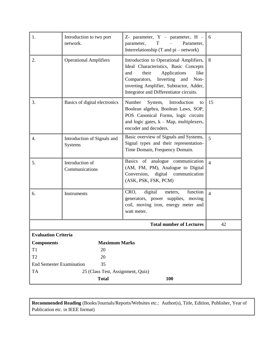| 1.                              | Introduction to two port<br>network.          | Z- parameter, $Y -$ parameter, $H -$<br>Parameter,<br>$\mathbf T$<br>parameter,<br>Interrelationship $(T$ and $pi$ – network)                                                                                                                              | 6              |
|---------------------------------|-----------------------------------------------|------------------------------------------------------------------------------------------------------------------------------------------------------------------------------------------------------------------------------------------------------------|----------------|
| 2.                              | <b>Operational Amplifiers</b>                 | Introduction to Operational Amplifiers,<br>Ideal Characteristics, Basic Concepts<br>their<br>Applications<br>like<br>and<br>Inverting<br>Non-<br>Comparators,<br>and<br>inverting Amplifier, Subtractor, Adder,<br>Integrator and Differentiator circuits. | 8              |
| 3.                              | Basics of digital electronics                 | Number<br>System,<br>Introduction<br>to<br>Boolean algebra, Boolean Laws, SOP,<br>POS Canonical Forms, logic circuits<br>and logic gates, $k - Map$ , multiplexers,<br>encoder and decoders.                                                               | 15             |
| 4.                              | Introduction of Signals and<br><b>Systems</b> | Basic overview of Signals and Systems,<br>Signal types and their representation-<br>Time Domain, Frequency Domain.                                                                                                                                         | $\overline{5}$ |
| 5.                              | Introduction of<br>Communications             | Basics of analogue communication<br>(AM, FM, PM), Analogue to Digital<br>Conversion, digital communication<br>(ASK, PSK, FSK, PCM)                                                                                                                         | $\overline{4}$ |
| 6.                              | Instruments                                   | digital<br>function<br>CRO,<br>meters,<br>generators, power supplies, moving<br>coil, moving iron, energy meter and<br>watt meter.                                                                                                                         | $\overline{4}$ |
|                                 |                                               | <b>Total number of Lectures</b>                                                                                                                                                                                                                            | 42             |
| <b>Evaluation Criteria</b>      |                                               |                                                                                                                                                                                                                                                            |                |
| <b>Components</b>               | <b>Maximum Marks</b>                          |                                                                                                                                                                                                                                                            |                |
| T1                              | 20                                            |                                                                                                                                                                                                                                                            |                |
| T <sub>2</sub>                  | 20                                            |                                                                                                                                                                                                                                                            |                |
| <b>End Semester Examination</b> | 35                                            |                                                                                                                                                                                                                                                            |                |
| <b>TA</b>                       | 25 (Class Test, Assignment, Quiz)             |                                                                                                                                                                                                                                                            |                |
|                                 | <b>Total</b>                                  | 100                                                                                                                                                                                                                                                        |                |

**Recommended Reading** (Books/Journals/Reports/Websites etc.: Author(s), Title, Edition, Publisher, Year of Publication etc. in IEEE format)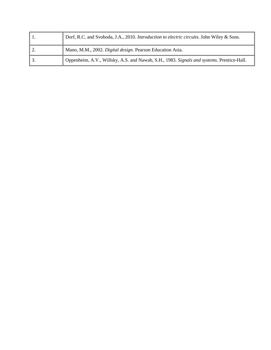|    | Dorf, R.C. and Svoboda, J.A., 2010. Introduction to electric circuits. John Wiley & Sons. |
|----|-------------------------------------------------------------------------------------------|
| 2. | Mano, M.M., 2002. Digital design. Pearson Education Asia.                                 |
| 3. | Oppenheim, A.V., Willsky, A.S. and Nawab, S.H., 1983. Signals and systems. Prentice-Hall. |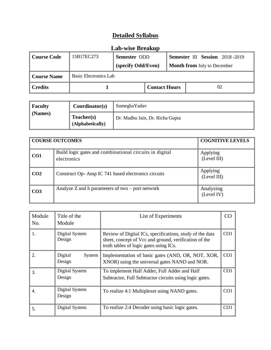#### **Lab-wise Breakup**

| <b>Course Code</b> | 15B17EC273<br>Semester ODD<br>(specify Odd/Even) |  |                      |  | Semester III Session 2018-2019<br><b>Month from July to December</b> |
|--------------------|--------------------------------------------------|--|----------------------|--|----------------------------------------------------------------------|
| <b>Course Name</b> | Basic Electronics Lab                            |  |                      |  |                                                                      |
| <b>Credits</b>     |                                                  |  | <b>Contact Hours</b> |  | 02                                                                   |

| Faculty | Coordinator(s)                 | SumeghaYadav                    |
|---------|--------------------------------|---------------------------------|
| (Names) | Teacher(s)<br>(Alphabetically) | Dr. Madhu Jain, Dr. Richa Gupta |

| <b>COURSE OUTCOMES</b> |                                                                        | <b>COGNITIVE LEVELS</b> |
|------------------------|------------------------------------------------------------------------|-------------------------|
| CO <sub>1</sub>        | Build logic gates and combinational circuits in digital<br>electronics | Applying<br>(Level III) |
| CO <sub>2</sub>        | Construct Op-Amp IC 741 based electronics circuits                     | Applying<br>(Level III) |
| CO <sub>3</sub>        | Analyze $Z$ and h parameters of two $-$ port network                   | Analyzing<br>(Level IV) |

| Module<br>No. | Title of the<br>Module      | List of Experiments                                                                                                                                         | CO              |
|---------------|-----------------------------|-------------------------------------------------------------------------------------------------------------------------------------------------------------|-----------------|
|               | Digital System<br>Design    | Review of Digital ICs, specifications, study of the data<br>sheet, concept of Vcc and ground, verification of the<br>truth tables of logic gates using ICs. | CO <sub>1</sub> |
|               | Digital<br>System<br>Design | Implementation of basic gates (AND, OR, NOT, XOR,<br>XNOR) using the universal gates NAND and NOR.                                                          | CO <sub>1</sub> |
| 3.            | Digital System<br>Design    | To implement Half Adder, Full Adder and Half<br>Subtractor, Full Subtractor circuits using logic gates.                                                     | CO <sub>1</sub> |
| 4.            | Digital System<br>Design    | To realize 4:1 Multiplexer using NAND gates.                                                                                                                | CO <sub>1</sub> |
| 5.            | Digital System              | To realize 2:4 Decoder using basic logic gates.                                                                                                             | CO <sub>1</sub> |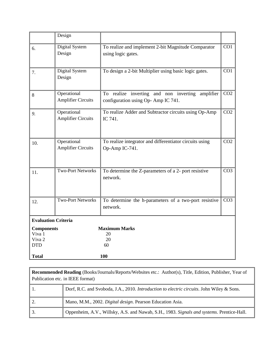|                             | Design                                   |                                                                                        |                  |  |  |
|-----------------------------|------------------------------------------|----------------------------------------------------------------------------------------|------------------|--|--|
| 6.                          | Digital System<br>Design                 | To realize and implement 2-bit Magnitude Comparator<br>using logic gates.              | $\overline{CO1}$ |  |  |
| 7.                          | Digital System<br>Design                 | To design a 2-bit Multiplier using basic logic gates.                                  | CO1              |  |  |
| 8                           | Operational<br><b>Amplifier Circuits</b> | To realize inverting and non inverting amplifier<br>configuration using Op-Amp IC 741. | CO <sub>2</sub>  |  |  |
| 9.                          | Operational<br><b>Amplifier Circuits</b> | To realize Adder and Subtractor circuits using Op-Amp<br>IC 741.                       | CO <sub>2</sub>  |  |  |
| 10.                         | Operational<br><b>Amplifier Circuits</b> | To realize integrator and differentiator circuits using<br>Op-Amp IC-741.              | CO <sub>2</sub>  |  |  |
| 11.                         | <b>Two-Port Networks</b>                 | To determine the Z-parameters of a 2- port resistive<br>network.                       | CO <sub>3</sub>  |  |  |
| 12.                         | <b>Two-Port Networks</b>                 | To determine the h-parameters of a two-port resistive<br>network.                      | CO <sub>3</sub>  |  |  |
|                             | <b>Evaluation Criteria</b>               |                                                                                        |                  |  |  |
| <b>Components</b><br>Viva 1 |                                          | <b>Maximum Marks</b><br>20                                                             |                  |  |  |
| Viva <sub>2</sub>           |                                          | 20                                                                                     |                  |  |  |
| <b>DTD</b>                  |                                          | 60                                                                                     |                  |  |  |
| <b>Total</b>                |                                          | 100                                                                                    |                  |  |  |

| Recommended Reading (Books/Journals/Reports/Websites etc.: Author(s), Title, Edition, Publisher, Year of<br>Publication etc. in IEEE format) |                                                                                           |  |
|----------------------------------------------------------------------------------------------------------------------------------------------|-------------------------------------------------------------------------------------------|--|
|                                                                                                                                              | Dorf, R.C. and Svoboda, J.A., 2010. Introduction to electric circuits. John Wiley & Sons. |  |
| 2.                                                                                                                                           | Mano, M.M., 2002. Digital design. Pearson Education Asia.                                 |  |
|                                                                                                                                              | Oppenheim, A.V., Willsky, A.S. and Nawab, S.H., 1983. Signals and systems. Prentice-Hall. |  |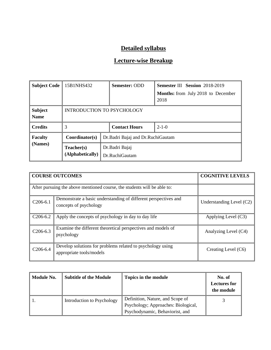| <b>Subject Code</b>                                                      | 15B1NHS432                     | <b>Semester: ODD</b><br><b>Semester III Session 2018-2019</b> |                                                   |  |
|--------------------------------------------------------------------------|--------------------------------|---------------------------------------------------------------|---------------------------------------------------|--|
|                                                                          |                                |                                                               | <b>Months:</b> from July 2018 to December<br>2018 |  |
| <b>Subject</b><br><b>Name</b>                                            |                                | <b>INTRODUCTION TO PSYCHOLOGY</b>                             |                                                   |  |
| <b>Credits</b>                                                           |                                | $2 - 1 - 0$<br><b>Contact Hours</b>                           |                                                   |  |
| Dr. Badri Bajaj and Dr. Ruchi Gautam<br><b>Faculty</b><br>Coordinator(s) |                                |                                                               |                                                   |  |
| (Names)                                                                  | Teacher(s)<br>(Alphabetically) | Dr.Badri Bajaj<br>Dr.RuchiGautam                              |                                                   |  |

|            | <b>COURSE OUTCOMES</b>                                                                    | <b>COGNITIVE LEVELS</b>  |
|------------|-------------------------------------------------------------------------------------------|--------------------------|
|            | After pursuing the above mentioned course, the students will be able to:                  |                          |
| $C206-6.1$ | Demonstrate a basic understanding of different perspectives and<br>concepts of psychology | Understanding Level (C2) |
| $C206-6.2$ | Apply the concepts of psychology in day to day life                                       | Applying Level (C3)      |
| $C206-6.3$ | Examine the different theoretical perspectives and models of<br>psychology                | Analyzing Level (C4)     |
| $C206-6.4$ | Develop solutions for problems related to psychology using<br>appropriate tools/models    | Creating Level (C6)      |

| Module No. | <b>Subtitle of the Module</b> | Topics in the module                                                                                       | No. of<br><b>Lectures for</b><br>the module |
|------------|-------------------------------|------------------------------------------------------------------------------------------------------------|---------------------------------------------|
|            | Introduction to Psychology    | Definition, Nature, and Scope of<br>Psychology; Approaches: Biological,<br>Psychodynamic, Behaviorist, and |                                             |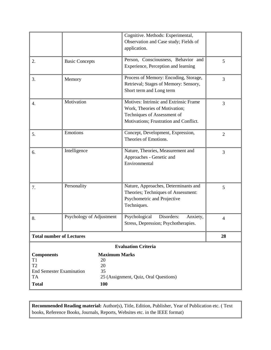|                                                 |                                                                           | Cognitive. Methods: Experimental,<br>Observation and Case study; Fields of<br>application.                                                       |                |
|-------------------------------------------------|---------------------------------------------------------------------------|--------------------------------------------------------------------------------------------------------------------------------------------------|----------------|
| 2.                                              | <b>Basic Concepts</b>                                                     | Person, Consciousness, Behavior and<br>Experience, Perception and learning                                                                       | 5              |
| 3.                                              | Memory                                                                    | Process of Memory: Encoding, Storage,<br>Retrieval; Stages of Memory: Sensory,<br>Short term and Long term                                       | 3              |
| 4.                                              | Motivation                                                                | Motives: Intrinsic and Extrinsic Frame<br>Work, Theories of Motivation;<br>Techniques of Assessment of<br>Motivations; Frustration and Conflict. | 3              |
| 5.                                              | Emotions                                                                  | Concept, Development, Expression,<br>Theories of Emotions.                                                                                       | $\overline{2}$ |
| 6.                                              | Intelligence                                                              | Nature, Theories, Measurement and<br>Approaches - Genetic and<br>Environmental                                                                   | 3              |
| 7.                                              | Personality                                                               | Nature, Approaches, Determinants and<br>Theories; Techniques of Assessment:<br>Psychometric and Projective<br>Techniques.                        | 5              |
| 8.                                              | Psychology of Adjustment                                                  | Psychological<br>Disorders:<br>Anxiety,<br>Stress, Depression; Psychotherapies.                                                                  | $\overline{4}$ |
|                                                 | <b>Total number of Lectures</b>                                           |                                                                                                                                                  | 28             |
|                                                 |                                                                           | <b>Evaluation Criteria</b>                                                                                                                       |                |
| <b>Components</b><br>T1<br>T <sub>2</sub><br>TA | <b>Maximum Marks</b><br>20<br>20<br><b>End Semester Examination</b><br>35 | 25 (Assignment, Quiz, Oral Questions)                                                                                                            |                |
| <b>Total</b>                                    | 100                                                                       |                                                                                                                                                  |                |

**Recommended Reading material:** Author(s), Title, Edition, Publisher, Year of Publication etc. ( Text books, Reference Books, Journals, Reports, Websites etc. in the IEEE format)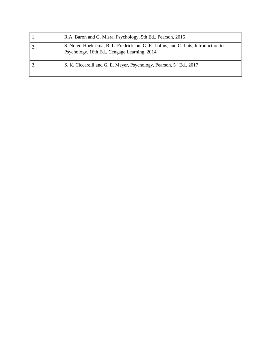| R.A. Baron and G. Misra, Psychology, 5th Ed., Pearson, 2015                                                                      |
|----------------------------------------------------------------------------------------------------------------------------------|
| S. Nolen-Hoeksema, B. L. Fredrickson, G. R. Loftus, and C. Luts, Introduction to<br>Psychology, 16th Ed., Cengage Learning, 2014 |
| S. K. Ciccarelli and G. E. Meyer, Psychology, Pearson, 5 <sup>th</sup> Ed., 2017                                                 |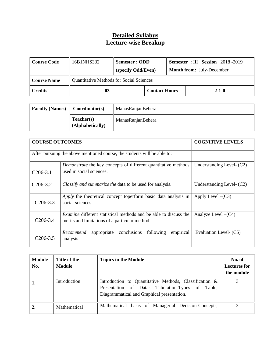#### **Detailed Syllabus Lecture-wise Breakup**

| <b>Course Code</b> | 16B1NHS332                                      | Semester : ODD     |                      |  | <b>Semester</b> : III Session 2018 -2019 |
|--------------------|-------------------------------------------------|--------------------|----------------------|--|------------------------------------------|
|                    |                                                 | (specify Odd/Even) |                      |  | <b>Month from:</b> July-December         |
| <b>Course Name</b> | <b>Quantitative Methods for Social Sciences</b> |                    |                      |  |                                          |
| <b>Credits</b>     | 03                                              |                    | <b>Contact Hours</b> |  | $2 - 1 - 0$                              |

| <b>Faculty (Names)</b> | Coordinator(s)                 | ManasRanjanBehera |
|------------------------|--------------------------------|-------------------|
|                        | Teacher(s)<br>(Alphabetically) | ManasRanjanBehera |

| <b>COURSE OUTCOMES</b> |                                                                                                                          | <b>COGNITIVE LEVELS</b>   |
|------------------------|--------------------------------------------------------------------------------------------------------------------------|---------------------------|
|                        | After pursuing the above mentioned course, the students will be able to:                                                 |                           |
| $C206-3.1$             | Demonstrate the key concepts of different quantitative methods<br>used in social sciences.                               | Understanding Level- (C2) |
| $C206-3.2$             | Classify and summarize the data to be used for analysis.                                                                 | Understanding Level- (C2) |
| $C206-3.3$             | Apply the theoretical concept toperform basic data analysis in<br>social sciences.                                       | Apply Level $-(C3)$       |
| $C206-3.4$             | <i>Examine</i> different statistical methods and be able to discuss the<br>merits and limitations of a particular method | Analyze Level $-(C4)$     |
| C206-3.5               | empirical<br>conclusions<br>following<br>Recommend<br>appropriate<br>analysis                                            | Evaluation Level- (C5)    |

| <b>Module</b><br>No. | Title of the<br><b>Module</b> | <b>Topics in the Module</b>                                                                                                                              | No. of<br><b>Lectures for</b><br>the module |
|----------------------|-------------------------------|----------------------------------------------------------------------------------------------------------------------------------------------------------|---------------------------------------------|
|                      | Introduction                  | Introduction to Quantitative Methods, Classification &<br>Presentation of Data: Tabulation-Types of Table,<br>Diagrammatical and Graphical presentation. | 2                                           |
|                      | Mathematical                  | Mathematical basis of Managerial Decision-Concepts,                                                                                                      |                                             |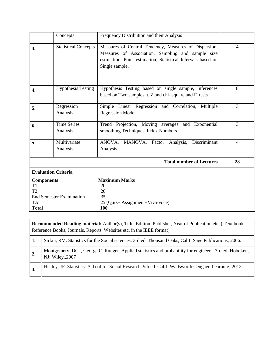|                                                                                                           | Concepts                       | Frequency Distribution and their Analysis                                                                                                                                                    |                |
|-----------------------------------------------------------------------------------------------------------|--------------------------------|----------------------------------------------------------------------------------------------------------------------------------------------------------------------------------------------|----------------|
| 3.                                                                                                        | <b>Statistical Concepts</b>    | Measures of Central Tendency, Measures of Dispersion,<br>Measures of Association, Sampling and sample size<br>estimation, Point estimation, Statistical Intervals based on<br>Single sample. | 4              |
| 4.                                                                                                        | <b>Hypothesis Testing</b>      | Hypothesis Testing based on single sample, Inferences<br>based on Two samples, t, Z and chi-square and F tests                                                                               | 8              |
| 5.                                                                                                        | Regression<br>Analysis         | Simple Linear Regression and Correlation, Multiple<br><b>Regression Model</b>                                                                                                                | $\overline{3}$ |
| 6.                                                                                                        | <b>Time Series</b><br>Analysis | Trend Projection, Moving averages and Exponential<br>smoothing Techniques, Index Numbers                                                                                                     | 3              |
| 7.                                                                                                        | Multivariate<br>Analysis       | Discriminant<br>MANOVA, Factor<br>ANOVA,<br>Analysis,<br>Analysis                                                                                                                            | $\overline{4}$ |
|                                                                                                           |                                | <b>Total number of Lectures</b>                                                                                                                                                              | 28             |
| <b>Evaluation Criteria</b>                                                                                |                                |                                                                                                                                                                                              |                |
| <b>Components</b><br>T <sub>1</sub><br>T2<br><b>End Semester Examination</b><br><b>TA</b><br><b>Total</b> |                                | <b>Maximum Marks</b><br>20<br>20<br>35<br>25 (Quiz+ Assignment+Viva-voce)<br>100                                                                                                             |                |

|     | <b>Recommended Reading material:</b> Author(s), Title, Edition, Publisher, Year of Publication etc. (Text books,<br>Reference Books, Journals, Reports, Websites etc. in the IEEE format) |  |  |  |  |
|-----|-------------------------------------------------------------------------------------------------------------------------------------------------------------------------------------------|--|--|--|--|
| -1. | Sirkin, RM. Statistics for the Social sciences. 3rd ed. Thousand Oaks, Calif: Sage Publications; 2006.                                                                                    |  |  |  |  |
| 2.  | Montgomery, DC., George C. Runger. Applied statistics and probability for engineers. 3rd ed. Hoboken,<br>NJ: Wiley., 2007                                                                 |  |  |  |  |
| 3.  | Healey, JF. Statistics: A Tool for Social Research. 9th ed. Calif: Wadsworth Cengage Learning; 2012.                                                                                      |  |  |  |  |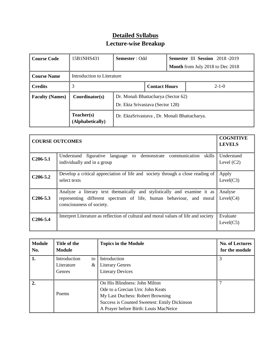# **Detailed Syllabus Lecture-wise Breakup**

| <b>Course Code</b>     | 15B1NHS431                               | <b>Semester</b> : Odd                                                   |  | Semester III Session 2018-2019 |                                         |
|------------------------|------------------------------------------|-------------------------------------------------------------------------|--|--------------------------------|-----------------------------------------|
|                        |                                          |                                                                         |  |                                | <b>Month</b> from July 2018 to Dec 2018 |
| <b>Course Name</b>     | Introduction to Literature               |                                                                         |  |                                |                                         |
| <b>Credits</b>         | 3<br><b>Contact Hours</b><br>$2 - 1 - 0$ |                                                                         |  |                                |                                         |
| <b>Faculty (Names)</b> | Coordinator(s)                           | Dr. Monali Bhattacharya (Sector 62)<br>Dr. Ekta Srivastava (Sector 128) |  |                                |                                         |
|                        | Teacher(s)<br>(Alphabetically)           | Dr. EktaSrivastava, Dr. Monali Bhattacharya.                            |  |                                |                                         |

| <b>COURSE OUTCOMES</b> | <b>COGNITIVE</b><br><b>LEVELS</b>                                                                                                                                            |                            |
|------------------------|------------------------------------------------------------------------------------------------------------------------------------------------------------------------------|----------------------------|
| $C206-5.1$             | skills<br>Understand figurative language to demonstrate communication<br>individually and in a group                                                                         | Understand<br>Level $(C2)$ |
| $C206 - 5.2$           | Develop a critical appreciation of life and society through a close reading of<br>select texts                                                                               | Apply<br>Level(C3)         |
| $C206-5.3$             | Analyze a literary text thematically and stylistically and examine it as<br>representing different spectrum of life, human behaviour, and moral<br>consciousness of society. | Analyse<br>Level(C4)       |
| $C206 - 5.4$           | Interpret Literature as reflection of cultural and moral values of life and society                                                                                          | Evaluate<br>Level(C5)      |

| <b>Module</b><br>No. | Title of the<br><b>Module</b> |    | <b>Topics in the Module</b>                  | <b>No. of Lectures</b><br>for the module |
|----------------------|-------------------------------|----|----------------------------------------------|------------------------------------------|
| 1.                   | Introduction                  | to | Introduction                                 |                                          |
|                      | Literature                    | &  | <b>Literary Genres</b>                       |                                          |
|                      | Genres                        |    | <b>Literary Devices</b>                      |                                          |
|                      |                               |    |                                              |                                          |
| $\overline{2}$ .     |                               |    | On His Blindness: John Milton                |                                          |
|                      | Poems                         |    | Ode to a Grecian Urn: John Keats             |                                          |
|                      |                               |    | My Last Duchess: Robert Browning             |                                          |
|                      |                               |    | Success is Counted Sweetest: Emily Dickinson |                                          |
|                      |                               |    | A Prayer before Birth: Louis MacNeice        |                                          |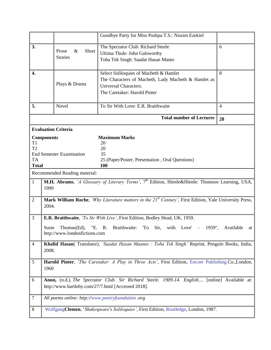|                           |                                                                                                                     |                                 | Goodbye Party for Miss Pushpa T.S.: Nissim Ezekiel                                                  |                 |  |
|---------------------------|---------------------------------------------------------------------------------------------------------------------|---------------------------------|-----------------------------------------------------------------------------------------------------|-----------------|--|
| 3.                        |                                                                                                                     | $\&$<br>Short<br>Prose          | The Spectator Club: Richard Steele<br>Ultima Thule: John Galsworthy                                 | 6               |  |
|                           |                                                                                                                     | <b>Stories</b>                  | Toba Tek Singh: Saadat Hasan Manto                                                                  |                 |  |
|                           |                                                                                                                     |                                 |                                                                                                     |                 |  |
| 4.                        |                                                                                                                     |                                 | Select Soliloquies of Macbeth & Hamlet                                                              | 8               |  |
|                           |                                                                                                                     | Plays & Drama                   | The Characters of Macbeth, Lady Macbeth & Hamlet as<br>Universal Characters.                        |                 |  |
|                           |                                                                                                                     |                                 | The Caretaker: Harold Pinter                                                                        |                 |  |
|                           |                                                                                                                     |                                 |                                                                                                     |                 |  |
| 5.                        |                                                                                                                     | Novel                           | To Sir With Love: E.R. Braithwaite                                                                  | $\overline{4}$  |  |
|                           |                                                                                                                     |                                 | <b>Total number of Lectures</b>                                                                     | 28              |  |
|                           |                                                                                                                     | <b>Evaluation Criteria</b>      |                                                                                                     |                 |  |
| T1                        | <b>Components</b>                                                                                                   |                                 | <b>Maximum Marks</b><br>20                                                                          |                 |  |
| T <sub>2</sub>            |                                                                                                                     |                                 | 20                                                                                                  |                 |  |
|                           |                                                                                                                     | <b>End Semester Examination</b> | 35                                                                                                  |                 |  |
| <b>TA</b><br><b>Total</b> |                                                                                                                     |                                 | 25 (Paper/Poster, Presentation, Oral Questions)<br><b>100</b>                                       |                 |  |
|                           |                                                                                                                     | Recommended Reading material:   |                                                                                                     |                 |  |
| 1                         | M.H. Abrams, 'A Glossary of Literary Terms', 7 <sup>th</sup> Edition, Hienle&Hienle: Thomson Learning, USA,         |                                 |                                                                                                     |                 |  |
|                           | 1999                                                                                                                |                                 |                                                                                                     |                 |  |
| $\overline{2}$            | Mark William Roche, 'Why Literature matters in the 21 <sup>st</sup> Century', First Edition, Yale University Press, |                                 |                                                                                                     |                 |  |
|                           | 2004.                                                                                                               |                                 |                                                                                                     |                 |  |
| $\mathfrak{Z}$            | E.R. Braithwaite, 'To Sir With Live', First Edition, Bodley Head, UK, 1959.                                         |                                 |                                                                                                     |                 |  |
|                           | Susie                                                                                                               | Thomas(Ed),<br>"E.              | Braithwaite:<br>'To<br>Sir,<br>Love'<br>$-$ 1959",<br>R.<br>with                                    | Available<br>at |  |
|                           |                                                                                                                     | http://www.londonfictions.com   |                                                                                                     |                 |  |
| $\overline{4}$            | Khalid Hasan( Translator), 'Saadat Hasan Maanto : Toba Tek Singh' Reprint, Penguin Books, India,                    |                                 |                                                                                                     |                 |  |
|                           | 2008.                                                                                                               |                                 |                                                                                                     |                 |  |
| $\mathfrak s$             |                                                                                                                     |                                 | Harold Pinter, 'The Caretaker: A Play in Three Acts', First Edition, Encore Publishing Co., London, |                 |  |
|                           | 1960                                                                                                                |                                 |                                                                                                     |                 |  |
| 6                         | Anon, (n.d.). The Spectator Club. Sir Richard Steele. 1909-14. English [online] Available at:                       |                                 |                                                                                                     |                 |  |
|                           | http://www.bartleby.com/27/7.html [Accessed 2018].                                                                  |                                 |                                                                                                     |                 |  |
| 7                         |                                                                                                                     |                                 | All poems online: http://www.poetryfoundation .org                                                  |                 |  |
| 8                         | WolfgangClemen, 'Shakespeare's Soliloquies', First Edition, Routledge, London, 1987.                                |                                 |                                                                                                     |                 |  |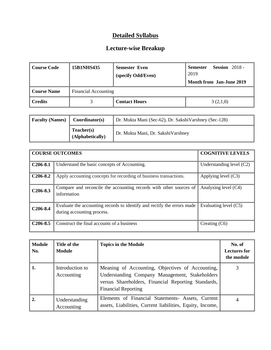| Course Code                                       | <b>15B1NHS435</b> | <b>Semester Even</b><br>(specify Odd/Even) | <b>Session</b> 2018 -<br><b>Semester</b><br>2019 |
|---------------------------------------------------|-------------------|--------------------------------------------|--------------------------------------------------|
|                                                   |                   |                                            | <b>Month from Jan-June 2019</b>                  |
| <b>Course Name</b><br><b>Financial Accounting</b> |                   |                                            |                                                  |
| Credits                                           |                   | <b>Contact Hours</b>                       | 3(2,1,0)                                         |

| <b>Faculty (Names)</b> | Coordinator(s)                 | Dr. Mukta Mani (Sec-62), Dr. SakshiVarshney (Sec-128) |
|------------------------|--------------------------------|-------------------------------------------------------|
|                        | Teacher(s)<br>(Alphabetically) | Dr. Mukta Mani, Dr. SakshiVarshney                    |

|                       | <b>COURSE OUTCOMES</b>                                                                                | <b>COGNITIVE LEVELS</b>    |
|-----------------------|-------------------------------------------------------------------------------------------------------|----------------------------|
| $C206-8.1$            | Understand the basic concepts of Accounting.                                                          | Understanding level $(C2)$ |
| $C206-8.2$            | Apply accounting concepts for recording of business transactions.                                     | Applying level $(C3)$      |
| $C206-8.3$            | Compare and reconcile the accounting records with other sources of<br>information                     | Analyzing level (C4)       |
| C <sub>206</sub> -8.4 | Evaluate the accounting records to identify and rectify the errors made<br>during accounting process. | Evaluating level (C5)      |
| $C206-8.5$            | Construct the final accounts of a business                                                            | Creating (C6)              |

| <b>Module</b><br>No. | Title of the<br><b>Module</b> | <b>Topics in the Module</b>                                                                                                                                                             | No. of<br><b>Lectures for</b><br>the module |
|----------------------|-------------------------------|-----------------------------------------------------------------------------------------------------------------------------------------------------------------------------------------|---------------------------------------------|
| 1.                   | Introduction to<br>Accounting | Meaning of Accounting, Objectives of Accounting,<br>Understanding Company Management, Stakeholders<br>versus Shareholders, Financial Reporting Standards,<br><b>Financial Reporting</b> |                                             |
| 2.                   | Understanding<br>Accounting   | Elements of Financial Statements- Assets, Current<br>assets, Liabilities, Current liabilities, Equity, Income,                                                                          |                                             |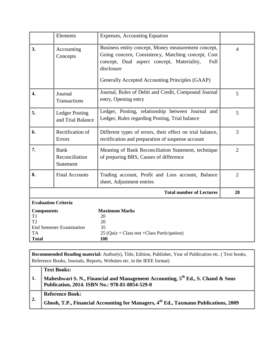|                                                                                               | Elements                                          | <b>Expenses, Accounting Equation</b>                                                                                                                                                                                             |                |
|-----------------------------------------------------------------------------------------------|---------------------------------------------------|----------------------------------------------------------------------------------------------------------------------------------------------------------------------------------------------------------------------------------|----------------|
| 3.<br>Accounting<br>Concepts                                                                  |                                                   | Business entity concept, Money measurement concept,<br>Going concern, Consistency, Matching concept, Cost<br>concept, Dual aspect concept, Materiality,<br>Full<br>disclosure<br>Generally Accepted Accounting Principles (GAAP) | $\overline{4}$ |
| $\overline{4}$ .                                                                              | Journal<br>Transactions                           | Journal, Rules of Debit and Credit, Compound Journal<br>entry, Opening entry                                                                                                                                                     | 5              |
| 5.                                                                                            | <b>Ledger Posting</b><br>and Trial Balance        | Ledger, Posting, relationship between Journal and<br>Ledger, Rules regarding Posting, Trial balance                                                                                                                              | 5              |
| 6.                                                                                            | Rectification of<br>Errors                        | Different types of errors, their effect on trial balance,<br>rectification and preparation of suspense account                                                                                                                   | 3              |
| 7.                                                                                            | <b>Bank</b><br>Reconciliation<br><b>Statement</b> | Meaning of Bank Reconciliation Statement, technique<br>of preparing BRS, Causes of difference                                                                                                                                    | $\overline{2}$ |
| 8.                                                                                            | <b>Final Accounts</b>                             | Trading account, Profit and Loss account, Balance<br>sheet, Adjustment entries                                                                                                                                                   | $\overline{2}$ |
|                                                                                               |                                                   | <b>Total number of Lectures</b>                                                                                                                                                                                                  | 28             |
| <b>Evaluation Criteria</b>                                                                    |                                                   |                                                                                                                                                                                                                                  |                |
| <b>Components</b><br>T1<br>T2<br><b>End Semester Examination</b><br><b>TA</b><br><b>Total</b> |                                                   | <b>Maximum Marks</b><br>20<br>20<br>35<br>$25$ (Quiz + Class test + Class Participation)<br><b>100</b>                                                                                                                           |                |

**Recommended Reading material:** Author(s), Title, Edition, Publisher, Year of Publication etc. ( Text books, Reference Books, Journals, Reports, Websites etc. in the IEEE format) **Text Books:**

#### **1. Maheshwari S. N., Financial and Management Accounting, 5th Ed., S. Chand & Sons Publication, 2014. ISBN No.: 978-81-8054-529-0**

- **Reference Book:**
- **2. Ghosh, T.P., Financial Accounting for Managers, 4th Ed., Taxmann Publications, 2009**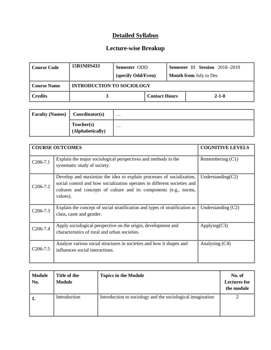| Course Code | <b>15B1NHS433</b>                | Semester ODD<br>(specify Odd/Even) |                      | <b>Semester III Session</b> 2018-2019<br><b>Month from July to Dec</b> |             |
|-------------|----------------------------------|------------------------------------|----------------------|------------------------------------------------------------------------|-------------|
| Course Name | <b>INTRODUCTION TO SOCIOLOGY</b> |                                    |                      |                                                                        |             |
| Credits     |                                  |                                    | <b>Contact Hours</b> |                                                                        | $2 - 1 - 0$ |

| <b>Faculty (Names)</b> | Coordinator(s)                 | $\cdot \cdot \cdot$ |
|------------------------|--------------------------------|---------------------|
|                        | Teacher(s)<br>(Alphabetically) | $\cdot \cdot \cdot$ |

|                       | <b>COURSE OUTCOMES</b>                                                                                                                                                                                                            | <b>COGNITIVE LEVELS</b> |
|-----------------------|-----------------------------------------------------------------------------------------------------------------------------------------------------------------------------------------------------------------------------------|-------------------------|
| $C206-7.1$            | Explain the major sociological perspectives and methods in the<br>systematic study of society.                                                                                                                                    | Remembering $(C1)$      |
| $C206-7.2$            | Develop and maximize the idea to explain processes of socialization,<br>social control and how socialization operates in different societies and<br>cultures and concepts of culture and its components (e.g., norms,<br>values). | Understanding $(C2)$    |
| $C206-7.3$            | Explain the concept of social stratification and types of stratification as<br>class, caste and gender.                                                                                                                           | Understanding $(C2)$    |
| $C206-7.4$            | Apply sociological perspective on the origin, development and<br>characteristics of rural and urban societies.                                                                                                                    | Applying $(C3)$         |
| C <sub>2</sub> 06-7.5 | Analyse various social structures in societies and how it shapes and<br>influences social interactions.                                                                                                                           | Analysing (C4)          |

| <b>Module</b><br>No. | Title of the<br><b>Module</b> | <b>Topics in the Module</b>                                | No. of<br><b>Lectures for</b><br>the module |
|----------------------|-------------------------------|------------------------------------------------------------|---------------------------------------------|
| ' 1.                 | Introduction                  | Introduction to sociology and the sociological imagination |                                             |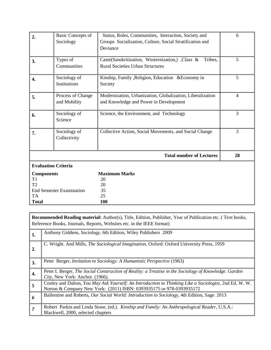| 2.                                                                                                        | <b>Basic Concepts of</b><br>Sociology | Status, Roles, Communities, Interaction, Society and<br>Groups Socialization, Culture, Social Stratification and<br>Deviance | 6  |
|-----------------------------------------------------------------------------------------------------------|---------------------------------------|------------------------------------------------------------------------------------------------------------------------------|----|
| 3.                                                                                                        | Types of<br>Communities               | Caste (Sanskritization, Westernization, Class &<br>Tribes.<br><b>Rural Societies Urban Structures</b>                        | 5  |
| 4.                                                                                                        | Sociology of<br>Institutions          | Kinship, Family , Religion, Education & Economy in<br>Society                                                                | 5  |
| 5.                                                                                                        | Process of Change<br>and Mobility     | Modernization, Urbanization, Globalization, Liberalization<br>and Knowledge and Power in Development                         | 4  |
| 6.                                                                                                        | Sociology of<br>Science               | Science, the Environment, and Technology                                                                                     | 3  |
| 7.                                                                                                        | Sociology of<br>Collectivity          | Collective Action, Social Movements, and Social Change                                                                       | 3  |
|                                                                                                           |                                       | <b>Total number of Lectures</b>                                                                                              | 28 |
|                                                                                                           | <b>Evaluation Criteria</b>            |                                                                                                                              |    |
| <b>Components</b><br>T <sub>1</sub><br>T2<br><b>End Semester Examination</b><br><b>TA</b><br><b>Total</b> |                                       | <b>Maximum Marks</b><br>20<br>20<br>35<br>25<br>100                                                                          |    |

|                | <b>Recommended Reading material:</b> Author(s), Title, Edition, Publisher, Year of Publication etc. (Text books,<br>Reference Books, Journals, Reports, Websites etc. in the IEEE format) |  |  |  |
|----------------|-------------------------------------------------------------------------------------------------------------------------------------------------------------------------------------------|--|--|--|
| 1.             | Anthony Giddens, Sociology, 6th Edition, Wiley Publishers 2009                                                                                                                            |  |  |  |
| 2.             | C. Wright. And Mills, <i>The Sociological Imagination</i> , Oxford: Oxford University Press, 1959                                                                                         |  |  |  |
| 3.             | Peter Berger, <i>Invitation to Sociology: A Humanistic Perspective</i> (1963)                                                                                                             |  |  |  |
| 4.             | Peter L Berger, The Social Construction of Reality: a Treatise in the Sociology of Knowledge. Garden<br>City, New York: Anchor. (1966).                                                   |  |  |  |
| $\overline{5}$ | Conley and Dalton, You May Ask Yourself: An Introduction to Thinking Like a Sociologist, 2nd Ed, W. W.<br>Norton & Company New York: (2011) ISBN: 0393935175 or 978-0393935172            |  |  |  |
| 6              | Ballentine and Roberts, Our Social World: Introduction to Sociology, 4th Edition, Sage. 2013                                                                                              |  |  |  |
| $\overline{7}$ | Robert Parkin and Linda Stone, (ed.). Kinship and Family: An Anthropological Reader, U.S.A.:<br>Blackwell, 2000, selected chapters                                                        |  |  |  |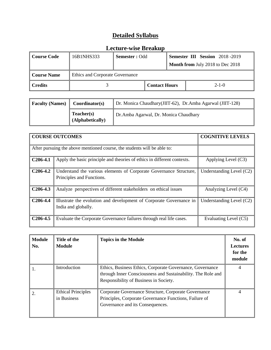| Course Code  | 16B1NHS333                      | <b>Semester</b> : Odd |                      |  | <b>Semester III Session</b> 2018-2019<br>Month from July 2018 to Dec 2018 |
|--------------|---------------------------------|-----------------------|----------------------|--|---------------------------------------------------------------------------|
| Course Name  | Ethics and Corporate Governance |                       |                      |  |                                                                           |
| $\ $ Credits |                                 |                       | <b>Contact Hours</b> |  | $2 - 1 - 0$                                                               |

| <b>Faculty (Names)</b> | Coordinator(s)                 | Dr. Monica Chaudhary (JIIT-62), Dr. Amba Agarwal (JIIT-128) |
|------------------------|--------------------------------|-------------------------------------------------------------|
|                        | Teacher(s)<br>(Alphabetically) | Dr.Amba Agarwal, Dr. Monica Chaudhary                       |

|            | <b>COURSE OUTCOMES</b>                                                                          | <b>COGNITIVE LEVELS</b>    |
|------------|-------------------------------------------------------------------------------------------------|----------------------------|
|            | After pursuing the above mentioned course, the students will be able to:                        |                            |
| $C206-4.1$ | Apply the basic principle and theories of ethics in different contexts.                         | Applying Level (C3)        |
| $C206-4.2$ | Understand the various elements of Corporate Governance Structure,<br>Principles and Functions. | Understanding Level $(C2)$ |
| $C206-4.3$ | Analyze perspectives of different stakeholders on ethical issues                                | Analyzing Level (C4)       |
| $C206-4.4$ | Illustrate the evolution and development of Corporate Governance in<br>India and globally.      | Understanding Level (C2)   |
| $C206-4.5$ | Evaluate the Corporate Governance failures through real life cases.                             | Evaluating Level (C5)      |

| <b>Module</b><br>No. | Title of the<br><b>Module</b>            | <b>Topics in the Module</b>                                                                                                                                         | No. of<br><b>Lectures</b><br>for the<br>module |
|----------------------|------------------------------------------|---------------------------------------------------------------------------------------------------------------------------------------------------------------------|------------------------------------------------|
|                      | Introduction                             | Ethics, Business Ethics, Corporate Governance, Governance<br>through Inner Consciousness and Sustainability. The Role and<br>Responsibility of Business in Society. | 4                                              |
|                      | <b>Ethical Principles</b><br>in Business | Corporate Governance Structure, Corporate Governance<br>Principles, Corporate Governance Functions, Failure of<br>Governance and its Consequences.                  | 4                                              |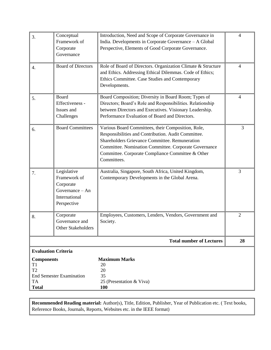| 3.                                                                 | Conceptual<br>Framework of<br>Corporate<br>Governance                                       | Introduction, Need and Scope of Corporate Governance in<br>India. Developments in Corporate Governance - A Global<br>Perspective, Elements of Good Corporate Governance.                                                                                                                 | $\overline{4}$ |
|--------------------------------------------------------------------|---------------------------------------------------------------------------------------------|------------------------------------------------------------------------------------------------------------------------------------------------------------------------------------------------------------------------------------------------------------------------------------------|----------------|
| $\overline{4}$ .                                                   | <b>Board of Directors</b>                                                                   | Role of Board of Directors. Organization Climate & Structure<br>and Ethics. Addressing Ethical Dilemmas. Code of Ethics;<br>Ethics Committee. Case Studies and Contemporary<br>Developments.                                                                                             | 4              |
| 5.                                                                 | Board<br>Effectiveness -<br>Issues and<br>Challenges                                        | Board Composition; Diversity in Board Room; Types of<br>Directors; Board's Role and Responsibilities. Relationship<br>between Directors and Executives. Visionary Leadership.<br>Performance Evaluation of Board and Directors.                                                          | 4              |
| 6.                                                                 | <b>Board Committees</b>                                                                     | Various Board Committees, their Composition, Role,<br>Responsibilities and Contribution. Audit Committee.<br>Shareholders Grievance Committee. Remuneration<br>Committee. Nomination Committee. Corporate Governance<br>Committee. Corporate Compliance Committee & Other<br>Committees. | 3              |
| 7.                                                                 | Legislative<br>Framework of<br>Corporate<br>Governance - An<br>International<br>Perspective | Australia, Singapore, South Africa, United Kingdom,<br>Contemporary Developments in the Global Arena.                                                                                                                                                                                    | 3              |
| 8.                                                                 | Corporate<br>Governance and<br><b>Other Stakeholders</b>                                    | Employees, Customers, Lenders, Vendors, Government and<br>Society.                                                                                                                                                                                                                       | $\overline{2}$ |
|                                                                    |                                                                                             | <b>Total number of Lectures</b>                                                                                                                                                                                                                                                          | 28             |
| <b>Components</b><br>T <sub>1</sub><br>T <sub>2</sub><br><b>TA</b> | <b>Evaluation Criteria</b><br><b>End Semester Examination</b>                               | <b>Maximum Marks</b><br>20<br>20<br>35<br>25 (Presentation & Viva)                                                                                                                                                                                                                       |                |
| <b>Total</b>                                                       |                                                                                             | <b>100</b>                                                                                                                                                                                                                                                                               |                |

**Recommended Reading material:** Author(s), Title, Edition, Publisher, Year of Publication etc. ( Text books, Reference Books, Journals, Reports, Websites etc. in the IEEE format)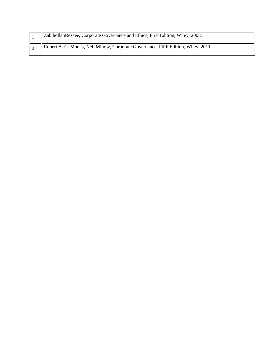|            | Zabihollah Rezaee, Corporate Governance and Ethics, First Edition, Wiley, 2008.   |
|------------|-----------------------------------------------------------------------------------|
| $\vert$ 2. | Robert A. G. Monks, Nell Minow, Corporate Governance, Fifth Edition, Wiley, 2011. |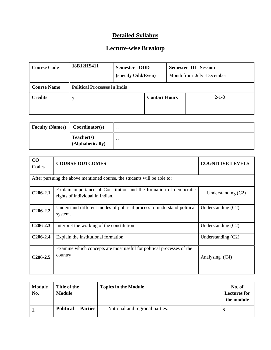| Course Code        | 18B12HS411                          | Semester :ODD<br>(specify Odd/Even) |                      |  | <b>Semester III Session</b><br>Month from July -December |
|--------------------|-------------------------------------|-------------------------------------|----------------------|--|----------------------------------------------------------|
| <b>Course Name</b> | <b>Political Processes in India</b> |                                     |                      |  |                                                          |
| <b>Credits</b>     | $\mathfrak{Z}$<br>$\cdots$          |                                     | <b>Contact Hours</b> |  | $2 - 1 - 0$                                              |

| <b>Faculty (Names)</b> | Coordinator(s)                         | $\cdots$ |
|------------------------|----------------------------------------|----------|
|                        | $\Gamma$ eacher(s)<br>(Alphabetically) | $\cdots$ |

| $\bf CO$<br>Codes | <b>COURSE OUTCOMES</b>                                                                                | <b>COGNITIVE LEVELS</b> |
|-------------------|-------------------------------------------------------------------------------------------------------|-------------------------|
|                   |                                                                                                       |                         |
|                   | After pursuing the above mentioned course, the students will be able to:                              |                         |
| $C206-2.1$        | Explain importance of Constitution and the formation of democratic<br>rights of individual in Indian. | Understanding $(C2)$    |
| $C206-2.2$        | Understand different modes of political process to understand political<br>system.                    | Understanding $(C2)$    |
| $C206-2.3$        | Interpret the working of the constitution                                                             | Understanding $(C2)$    |
| $C206-2.4$        | Explain the institutional formation                                                                   | Understanding $(C2)$    |
| $C206-2.5$        | Examine which concepts are most useful for political processes of the<br>country                      | Analysing (C4)          |

| <b>Module</b><br>No. | Title of the<br><b>Module</b>      | <b>Topics in the Module</b>    | No. of<br><b>Lectures for</b><br>the module |
|----------------------|------------------------------------|--------------------------------|---------------------------------------------|
|                      | <b>Political</b><br><b>Parties</b> | National and regional parties. |                                             |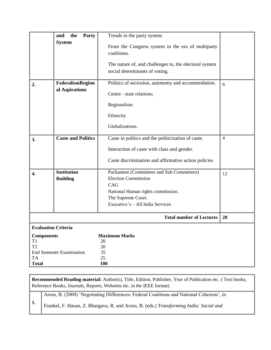|                                                                 | the<br>Party<br>and<br><b>System</b>      | Trends in the party system<br>From the Congress system to the era of multiparty<br>coalitions.<br>The nature of, and challenges to, the electoral system<br>social determinants of voting. |                |
|-----------------------------------------------------------------|-------------------------------------------|--------------------------------------------------------------------------------------------------------------------------------------------------------------------------------------------|----------------|
| 2.                                                              | <b>FederalismRegion</b><br>al Aspirations | Politics of secession, autonomy and accommodation.<br>Centre - state relations;<br>Regionalism<br>Ethnicity<br>Globalizations.                                                             | 6              |
| 3.                                                              | <b>Caste and Politics</b>                 | Caste in politics and the politicization of caste.<br>Interaction of caste with class and gender.<br>Caste discrimination and affirmative action policies                                  | $\overline{4}$ |
| 4.                                                              | <b>Institution</b><br><b>Building</b>     | Parliament (Committees and Sub Committees)<br><b>Election Commission</b><br>CAG<br>National Human rights commission.<br>The Supreme Court.<br>Executive's - All India Services             | 12             |
|                                                                 |                                           | <b>Total number of Lectures</b>                                                                                                                                                            | 28             |
| <b>Evaluation Criteria</b>                                      |                                           |                                                                                                                                                                                            |                |
| <b>Components</b><br>T1<br>T <sub>2</sub><br>TA<br><b>Total</b> | <b>End Semester Examination</b>           | <b>Maximum Marks</b><br>20<br>20<br>35<br>25<br><b>100</b>                                                                                                                                 |                |

**Recommended Reading material:** Author(s), Title, Edition, Publisher, Year of Publication etc. ( Text books, Reference Books, Journals, Reports, Websites etc. in the IEEE format)

Arora, B. (2000) "Negotiating Differences: Federal Coalitions and National Cohesion", in

Frankel, F. Hasan, Z. Bhargava, R. and Arora, B. (eds.) *Transforming India: Social and*

**1.**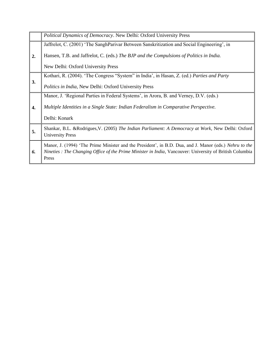|    | Political Dynamics of Democracy. New Delhi: Oxford University Press                                                                                                                                                         |
|----|-----------------------------------------------------------------------------------------------------------------------------------------------------------------------------------------------------------------------------|
|    | Jaffrelot, C. (2001) 'The SanghParivar Between Sanskritization and Social Engineering', in                                                                                                                                  |
| 2. | Hansen, T.B. and Jaffrelot, C. (eds.) The BJP and the Compulsions of Politics in India.                                                                                                                                     |
|    | New Delhi: Oxford University Press                                                                                                                                                                                          |
|    | Kothari, R. (2004). 'The Congress "System" in India', in Hasan, Z. (ed.) Parties and Party                                                                                                                                  |
| 3. | <i>Politics in India, New Delhi: Oxford University Press</i>                                                                                                                                                                |
|    | Manor, J. 'Regional Parties in Federal Systems', in Arora, B. and Verney, D.V. (eds.)                                                                                                                                       |
| 4. | Multiple Identities in a Single State: Indian Federalism in Comparative Perspective.                                                                                                                                        |
|    | Delhi: Konark                                                                                                                                                                                                               |
| 5. | Shankar, B.L. & Rodrigues, V. (2005) The Indian Parliament: A Democracy at Work, New Delhi: Oxford<br><b>University Press</b>                                                                                               |
| 6. | Manor, J. (1994) 'The Prime Minister and the President', in B.D. Dua, and J. Manor (eds.) Nehru to the<br>Nineties : The Changing Office of the Prime Minister in India, Vancouver: University of British Columbia<br>Press |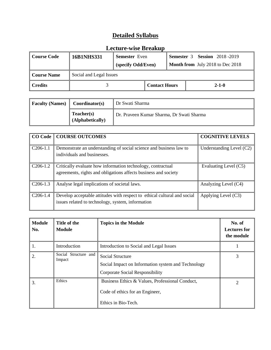| <b>Course Code</b> | <b>16B1NHS331</b>       | <b>Semester</b> Even<br>(specify Odd/Even) |                      | <b>Semester 3 Session 2018-2019</b><br><b>Month from</b> July 2018 to Dec 2018 |             |
|--------------------|-------------------------|--------------------------------------------|----------------------|--------------------------------------------------------------------------------|-------------|
| <b>Course Name</b> | Social and Legal Issues |                                            |                      |                                                                                |             |
| <b>Credits</b>     |                         |                                            | <b>Contact Hours</b> |                                                                                | $2 - 1 - 0$ |

| <b>Faculty (Names)</b> | Coordinator(s)                 | Dr Swati Sharma                           |  |
|------------------------|--------------------------------|-------------------------------------------|--|
|                        | Teacher(s)<br>(Alphabetically) | Dr. Praveen Kumar Sharma, Dr Swati Sharma |  |

|            | <b>CO Code   COURSE OUTCOMES</b>                                                                                               | <b>COGNITIVE LEVELS</b>    |
|------------|--------------------------------------------------------------------------------------------------------------------------------|----------------------------|
| $C206-1.1$ | Demonstrate an understanding of social science and business law to<br>individuals and businesses.                              | Understanding Level $(C2)$ |
| $C206-1.2$ | Critically evaluate how information technology, contractual<br>agreements, rights and obligations affects business and society | Evaluating Level (C5)      |
| $C206-1.3$ | Analyse legal implications of societal laws.                                                                                   | Analyzing Level (C4)       |
| $C206-1.4$ | Develop acceptable attitudes with respect to ethical cultural and social<br>issues related to technology, system, information  | Applying Level (C3)        |

| <b>Module</b><br>No. | Title of the<br>Module         | <b>Topics in the Module</b>                                                                                      | No. of<br><b>Lectures for</b><br>the module |
|----------------------|--------------------------------|------------------------------------------------------------------------------------------------------------------|---------------------------------------------|
| 1.                   | Introduction                   | Introduction to Social and Legal Issues                                                                          |                                             |
| 2.                   | Social Structure and<br>Impact | <b>Social Structure</b><br>Social Impact on Information system and Technology<br>Corporate Social Responsibility | 3                                           |
| 3.                   | Ethics                         | Business Ethics & Values, Professional Conduct,<br>Code of ethics for an Engineer,<br>Ethics in Bio-Tech.        | 2                                           |